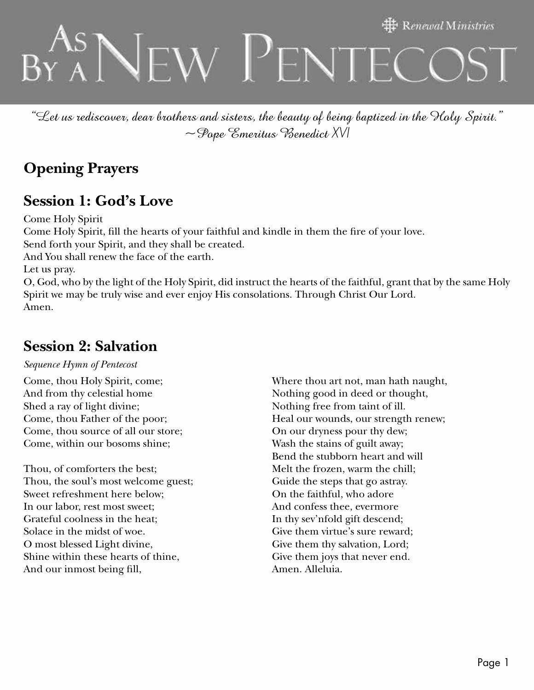# $\ddagger$  Renewal Ministries  $N$ ew Penteco

"Let us rediscover, dear brothers and sisters, the beauty of being baptized in the Holy Spirit." ~Pope Emeritus Benedict *XVI* 

# **Opening Prayers**

## **Session 1: God's Love**

Come Holy Spirit Come Holy Spirit, fill the hearts of your faithful and kindle in them the fire of your love. Send forth your Spirit, and they shall be created. And You shall renew the face of the earth. Let us pray. O, God, who by the light of the Holy Spirit, did instruct the hearts of the faithful, grant that by the same Holy Spirit we may be truly wise and ever enjoy His consolations. Through Christ Our Lord. Amen.

#### **Session 2: Salvation**

#### *Sequence Hymn of Pentecost*

Come, thou Holy Spirit, come; And from thy celestial home Shed a ray of light divine; Come, thou Father of the poor; Come, thou source of all our store; Come, within our bosoms shine;

Thou, of comforters the best; Thou, the soul's most welcome guest; Sweet refreshment here below; In our labor, rest most sweet; Grateful coolness in the heat; Solace in the midst of woe. O most blessed Light divine, Shine within these hearts of thine, And our inmost being fill,

Where thou art not, man hath naught, Nothing good in deed or thought, Nothing free from taint of ill. Heal our wounds, our strength renew; On our dryness pour thy dew; Wash the stains of guilt away; Bend the stubborn heart and will Melt the frozen, warm the chill; Guide the steps that go astray. On the faithful, who adore And confess thee, evermore In thy sev'nfold gift descend; Give them virtue's sure reward; Give them thy salvation, Lord; Give them joys that never end. Amen. Alleluia.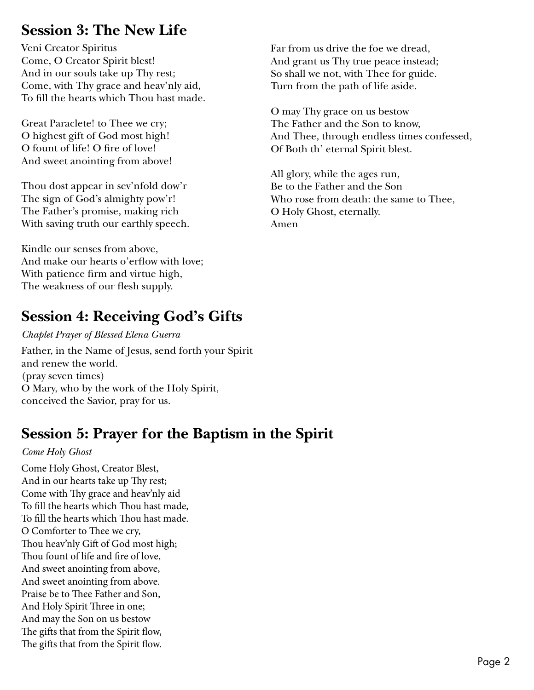## **Session 3: The New Life**

Veni Creator Spiritus Come, O Creator Spirit blest! And in our souls take up Thy rest; Come, with Thy grace and heav'nly aid, To fill the hearts which Thou hast made.

Great Paraclete! to Thee we cry; O highest gift of God most high! O fount of life! O fire of love! And sweet anointing from above!

Thou dost appear in sev'nfold dow'r The sign of God's almighty pow'r! The Father's promise, making rich With saving truth our earthly speech.

Kindle our senses from above, And make our hearts o'erflow with love; With patience firm and virtue high, The weakness of our flesh supply.

# **Session 4: Receiving God's Gifts**

*Chaplet Prayer of Blessed Elena Guerra* Father, in the Name of Jesus, send forth your Spirit and renew the world. (pray seven times) O Mary, who by the work of the Holy Spirit, conceived the Savior, pray for us.

## **Session 5: Prayer for the Baptism in the Spirit**

#### *Come Holy Ghost*

Come Holy Ghost, Creator Blest, And in our hearts take up Thy rest; Come with Thy grace and heav'nly aid To fill the hearts which Thou hast made, To fill the hearts which Thou hast made. O Comforter to Thee we cry, Thou heav'nly Gift of God most high; Thou fount of life and fire of love, And sweet anointing from above, And sweet anointing from above. Praise be to Thee Father and Son, And Holy Spirit Three in one; And may the Son on us bestow The gifts that from the Spirit flow, The gifts that from the Spirit flow.

Far from us drive the foe we dread, And grant us Thy true peace instead; So shall we not, with Thee for guide. Turn from the path of life aside.

O may Thy grace on us bestow The Father and the Son to know, And Thee, through endless times confessed, Of Both th' eternal Spirit blest.

All glory, while the ages run, Be to the Father and the Son Who rose from death: the same to Thee, O Holy Ghost, eternally. Amen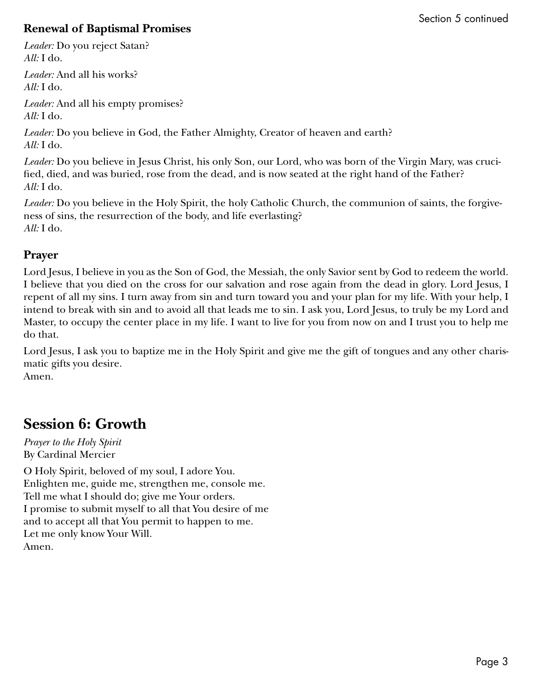#### **Renewal of Baptismal Promises**

*Leader:* Do you reject Satan? *All:* I do.

*Leader:* And all his works? *All:* I do.

*Leader:* And all his empty promises? *All:* I do.

*Leader:* Do you believe in God, the Father Almighty, Creator of heaven and earth? *All:* I do.

*Leader:* Do you believe in Jesus Christ, his only Son, our Lord, who was born of the Virgin Mary, was crucified, died, and was buried, rose from the dead, and is now seated at the right hand of the Father? *All:* I do.

*Leader:* Do you believe in the Holy Spirit, the holy Catholic Church, the communion of saints, the forgiveness of sins, the resurrection of the body, and life everlasting? *All:* I do.

#### **Prayer**

Lord Jesus, I believe in you as the Son of God, the Messiah, the only Savior sent by God to redeem the world. I believe that you died on the cross for our salvation and rose again from the dead in glory. Lord Jesus, I repent of all my sins. I turn away from sin and turn toward you and your plan for my life. With your help, I intend to break with sin and to avoid all that leads me to sin. I ask you, Lord Jesus, to truly be my Lord and Master, to occupy the center place in my life. I want to live for you from now on and I trust you to help me do that.

Lord Jesus, I ask you to baptize me in the Holy Spirit and give me the gift of tongues and any other charismatic gifts you desire. Amen.

## **Session 6: Growth**

*Prayer to the Holy Spirit* By Cardinal Mercier

O Holy Spirit, beloved of my soul, I adore You. Enlighten me, guide me, strengthen me, console me. Tell me what I should do; give me Your orders. I promise to submit myself to all that You desire of me and to accept all that You permit to happen to me. Let me only know Your Will. Amen.